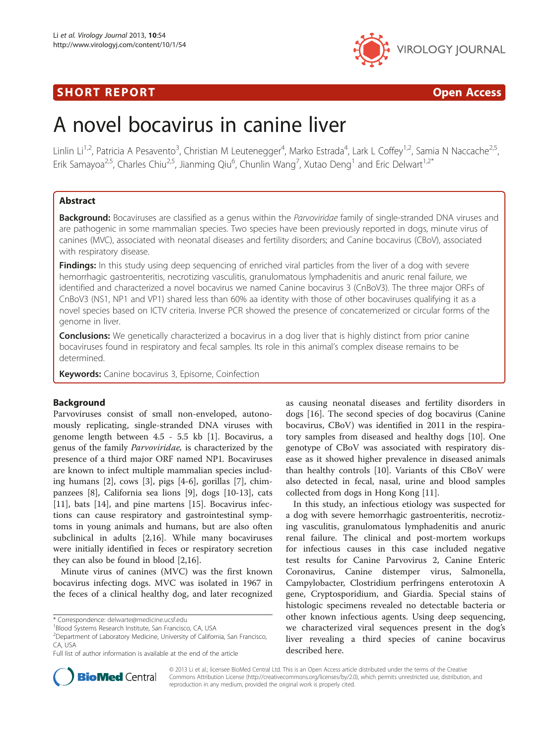# **SHORT REPORT CONSUMING THE SHORT CONSUMING THE CONSUMING THE CONSUMING THE CONSUMING THE CONSUMING THE CONSUMING T**



# A novel bocavirus in canine liver

Linlin Li<sup>1,2</sup>, Patricia A Pesavento<sup>3</sup>, Christian M Leutenegger<sup>4</sup>, Marko Estrada<sup>4</sup>, Lark L Coffey<sup>1,2</sup>, Samia N Naccache<sup>2,5</sup>, Erik Samayoa<sup>2,5</sup>, Charles Chiu<sup>2,5</sup>, Jianming Qiu<sup>6</sup>, Chunlin Wang<sup>7</sup>, Xutao Deng<sup>1</sup> and Eric Delwart<sup>1,2\*</sup>

# Abstract

Background: Bocaviruses are classified as a genus within the Parvoviridae family of single-stranded DNA viruses and are pathogenic in some mammalian species. Two species have been previously reported in dogs, minute virus of canines (MVC), associated with neonatal diseases and fertility disorders; and Canine bocavirus (CBoV), associated with respiratory disease.

**Findings:** In this study using deep sequencing of enriched viral particles from the liver of a dog with severe hemorrhagic gastroenteritis, necrotizing vasculitis, granulomatous lymphadenitis and anuric renal failure, we identified and characterized a novel bocavirus we named Canine bocavirus 3 (CnBoV3). The three major ORFs of CnBoV3 (NS1, NP1 and VP1) shared less than 60% aa identity with those of other bocaviruses qualifying it as a novel species based on ICTV criteria. Inverse PCR showed the presence of concatemerized or circular forms of the genome in liver.

**Conclusions:** We genetically characterized a bocavirus in a dog liver that is highly distinct from prior canine bocaviruses found in respiratory and fecal samples. Its role in this animal's complex disease remains to be determined.

Keywords: Canine bocavirus 3, Episome, Coinfection

# Background

Parvoviruses consist of small non-enveloped, autonomously replicating, single-stranded DNA viruses with genome length between 4.5 - 5.5 kb [\[1\]](#page-3-0). Bocavirus, a genus of the family Parvoviridae, is characterized by the presence of a third major ORF named NP1. Bocaviruses are known to infect multiple mammalian species including humans [\[2](#page-3-0)], cows [[3\]](#page-3-0), pigs [[4-6](#page-3-0)], gorillas [\[7](#page-3-0)], chimpanzees [\[8](#page-3-0)], California sea lions [\[9](#page-3-0)], dogs [[10](#page-3-0)-[13\]](#page-3-0), cats [[11\]](#page-3-0), bats [\[14](#page-3-0)], and pine martens [\[15\]](#page-3-0). Bocavirus infections can cause respiratory and gastrointestinal symptoms in young animals and humans, but are also often subclinical in adults [[2,16\]](#page-3-0). While many bocaviruses were initially identified in feces or respiratory secretion they can also be found in blood [\[2,16](#page-3-0)].

Minute virus of canines (MVC) was the first known bocavirus infecting dogs. MVC was isolated in 1967 in the feces of a clinical healthy dog, and later recognized

\* Correspondence: [delwarte@medicine.ucsf.edu](mailto:delwarte@medicine.ucsf.edu) <sup>1</sup>

as causing neonatal diseases and fertility disorders in dogs [\[16](#page-3-0)]. The second species of dog bocavirus (Canine bocavirus, CBoV) was identified in 2011 in the respiratory samples from diseased and healthy dogs [[10\]](#page-3-0). One genotype of CBoV was associated with respiratory disease as it showed higher prevalence in diseased animals than healthy controls [[10\]](#page-3-0). Variants of this CBoV were also detected in fecal, nasal, urine and blood samples collected from dogs in Hong Kong [\[11\]](#page-3-0).

In this study, an infectious etiology was suspected for a dog with severe hemorrhagic gastroenteritis, necrotizing vasculitis, granulomatous lymphadenitis and anuric renal failure. The clinical and post-mortem workups for infectious causes in this case included negative test results for Canine Parvovirus 2, Canine Enteric Coronavirus, Canine distemper virus, Salmonella, Campylobacter, Clostridium perfringens enterotoxin A gene, Cryptosporidium, and Giardia. Special stains of histologic specimens revealed no detectable bacteria or other known infectious agents. Using deep sequencing, we characterized viral sequences present in the dog's liver revealing a third species of canine bocavirus described here.



© 2013 Li et al.; licensee BioMed Central Ltd. This is an Open Access article distributed under the terms of the Creative Commons Attribution License [\(http://creativecommons.org/licenses/by/2.0\)](http://creativecommons.org/licenses/by/2.0), which permits unrestricted use, distribution, and reproduction in any medium, provided the original work is properly cited.

<sup>&</sup>lt;sup>1</sup>Blood Systems Research Institute, San Francisco, CA, USA

<sup>2</sup> Department of Laboratory Medicine, University of California, San Francisco, CA, USA

Full list of author information is available at the end of the article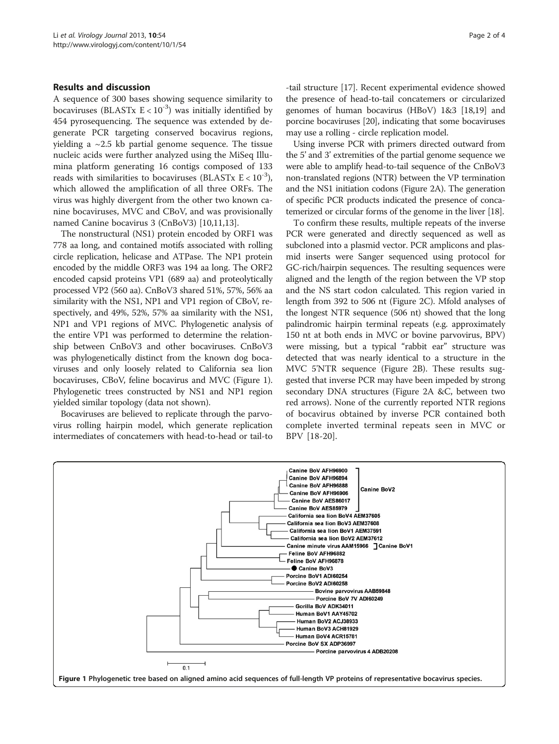# Results and discussion

A sequence of 300 bases showing sequence similarity to bocaviruses (BLASTx  $E < 10^{-3}$ ) was initially identified by 454 pyrosequencing. The sequence was extended by degenerate PCR targeting conserved bocavirus regions, yielding a  $\sim$  2.5 kb partial genome sequence. The tissue nucleic acids were further analyzed using the MiSeq Illumina platform generating 16 contigs composed of 133 reads with similarities to bocaviruses (BLASTx  $E < 10^{-3}$ ), which allowed the amplification of all three ORFs. The virus was highly divergent from the other two known canine bocaviruses, MVC and CBoV, and was provisionally named Canine bocavirus 3 (CnBoV3) [[10,11](#page-3-0),[13](#page-3-0)].

The nonstructural (NS1) protein encoded by ORF1 was 778 aa long, and contained motifs associated with rolling circle replication, helicase and ATPase. The NP1 protein encoded by the middle ORF3 was 194 aa long. The ORF2 encoded capsid proteins VP1 (689 aa) and proteolytically processed VP2 (560 aa). CnBoV3 shared 51%, 57%, 56% aa similarity with the NS1, NP1 and VP1 region of CBoV, respectively, and 49%, 52%, 57% aa similarity with the NS1, NP1 and VP1 regions of MVC. Phylogenetic analysis of the entire VP1 was performed to determine the relationship between CnBoV3 and other bocaviruses. CnBoV3 was phylogenetically distinct from the known dog bocaviruses and only loosely related to California sea lion bocaviruses, CBoV, feline bocavirus and MVC (Figure 1). Phylogenetic trees constructed by NS1 and NP1 region yielded similar topology (data not shown).

Bocaviruses are believed to replicate through the parvovirus rolling hairpin model, which generate replication intermediates of concatemers with head-to-head or tail-to

-tail structure [\[17\]](#page-3-0). Recent experimental evidence showed the presence of head-to-tail concatemers or circularized genomes of human bocavirus (HBoV) 1&3 [\[18,19\]](#page-3-0) and porcine bocaviruses [[20](#page-3-0)], indicating that some bocaviruses may use a rolling - circle replication model.

Using inverse PCR with primers directed outward from the 5' and 3' extremities of the partial genome sequence we were able to amplify head-to-tail sequence of the CnBoV3 non-translated regions (NTR) between the VP termination and the NS1 initiation codons (Figure [2](#page-2-0)A). The generation of specific PCR products indicated the presence of concatemerized or circular forms of the genome in the liver [[18](#page-3-0)].

To confirm these results, multiple repeats of the inverse PCR were generated and directly sequenced as well as subcloned into a plasmid vector. PCR amplicons and plasmid inserts were Sanger sequenced using protocol for GC-rich/hairpin sequences. The resulting sequences were aligned and the length of the region between the VP stop and the NS start codon calculated. This region varied in length from 392 to 506 nt (Figure [2C](#page-2-0)). Mfold analyses of the longest NTR sequence (506 nt) showed that the long palindromic hairpin terminal repeats (e.g. approximately 150 nt at both ends in MVC or bovine parvovirus, BPV) were missing, but a typical "rabbit ear" structure was detected that was nearly identical to a structure in the MVC 5'NTR sequence (Figure [2B](#page-2-0)). These results suggested that inverse PCR may have been impeded by strong secondary DNA structures (Figure [2A](#page-2-0) &C, between two red arrows). None of the currently reported NTR regions of bocavirus obtained by inverse PCR contained both complete inverted terminal repeats seen in MVC or BPV [\[18](#page-3-0)-[20](#page-3-0)].

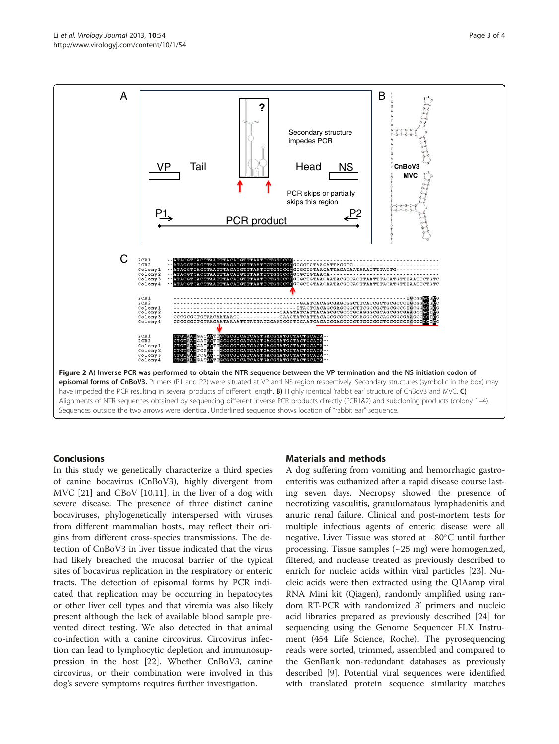<span id="page-2-0"></span>Li et al. Virology Journal 2013, 10:54 Page 3 of 4 http://www.virologyj.com/content/10/1/54



# Conclusions

In this study we genetically characterize a third species of canine bocavirus (CnBoV3), highly divergent from MVC [\[21](#page-3-0)] and CBoV [\[10,11\]](#page-3-0), in the liver of a dog with severe disease. The presence of three distinct canine bocaviruses, phylogenetically interspersed with viruses from different mammalian hosts, may reflect their origins from different cross-species transmissions. The detection of CnBoV3 in liver tissue indicated that the virus had likely breached the mucosal barrier of the typical sites of bocavirus replication in the respiratory or enteric tracts. The detection of episomal forms by PCR indicated that replication may be occurring in hepatocytes or other liver cell types and that viremia was also likely present although the lack of available blood sample prevented direct testing. We also detected in that animal co-infection with a canine circovirus. Circovirus infection can lead to lymphocytic depletion and immunosuppression in the host [\[22\]](#page-3-0). Whether CnBoV3, canine circovirus, or their combination were involved in this dog's severe symptoms requires further investigation.

# Materials and methods

A dog suffering from vomiting and hemorrhagic gastroenteritis was euthanized after a rapid disease course lasting seven days. Necropsy showed the presence of necrotizing vasculitis, granulomatous lymphadenitis and anuric renal failure. Clinical and post-mortem tests for multiple infectious agents of enteric disease were all negative. Liver Tissue was stored at −80°C until further processing. Tissue samples (~25 mg) were homogenized, filtered, and nuclease treated as previously described to enrich for nucleic acids within viral particles [[23\]](#page-3-0). Nucleic acids were then extracted using the QIAamp viral RNA Mini kit (Qiagen), randomly amplified using random RT-PCR with randomized 3' primers and nucleic acid libraries prepared as previously described [\[24](#page-3-0)] for sequencing using the Genome Sequencer FLX Instrument (454 Life Science, Roche). The pyrosequencing reads were sorted, trimmed, assembled and compared to the GenBank non-redundant databases as previously described [\[9](#page-3-0)]. Potential viral sequences were identified with translated protein sequence similarity matches